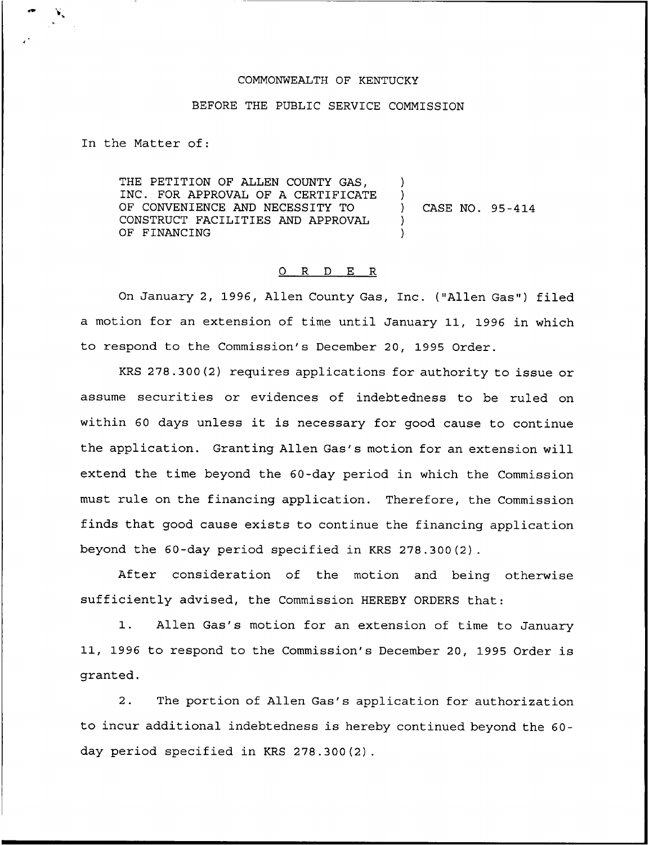## COMMONWEALTH OF KENTUCKY

## BEFORE THE PUBLIC SERVICE COMMISSION

In the Matter of:

THE PETITION OF ALLEN COUNTY GAS, INC. FOR APPROVAL OF A CERTIFICATE OF CONVENIENCE AND NECESSITY TO CONSTRUCT FACILITIES AND APPROVAL OF FINANCING ) ) ) )

) CASE NO. 95-414

## 0 R <sup>D</sup> E R

On January 2, 1996, Allen County Gas, Inc. ("Allen Gas") filed a motion for an extension of time until January 11, 1996 in which to respond to the Commission's December 20, 1995 Order.

KRS 278.300(2) requires applications for authority to issue or assume securities or evidences of indebtedness to be ruled on within <sup>60</sup> days unless it is necessary for good cause to continue the application. Granting Allen Gas's motion for an extension will extend the time beyond the 60-day period in which the Commission must rule on the financing application. Therefore, the Commission finds that good cause exists to continue the financing application beyond the 60-day period specified in KRS 278.300(2).

After consideration of the motion and being otherwise sufficiently advised, the Commission HEREBY ORDERS that:

1. Allen Gas's motion for an extension of time to January 11, 1996 to respond to the Commission's December 20, 1995 Order is granted.

2. The portion of Allen Gas's application for authorization to incur additional indebtedness is hereby continued beyond the 60 day period specified in KRS 278.300(2).